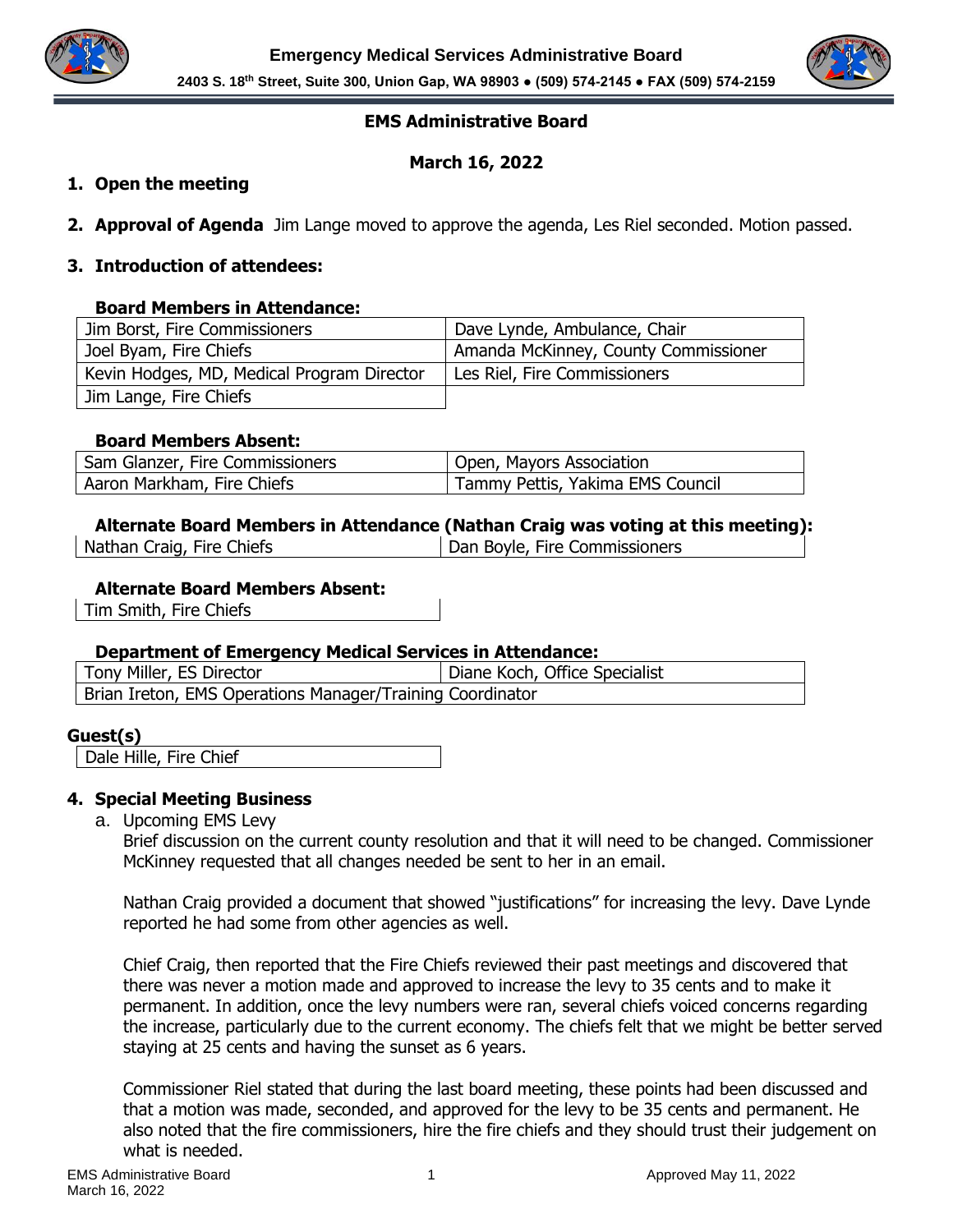



## **EMS Administrative Board**

# **March 16, 2022**

### **1. Open the meeting**

**2. Approval of Agenda** Jim Lange moved to approve the agenda, Les Riel seconded. Motion passed.

### **3. Introduction of attendees:**

### **Board Members in Attendance:**

| Jim Borst, Fire Commissioners              | Dave Lynde, Ambulance, Chair         |
|--------------------------------------------|--------------------------------------|
| Joel Byam, Fire Chiefs                     | Amanda McKinney, County Commissioner |
| Kevin Hodges, MD, Medical Program Director | Les Riel, Fire Commissioners         |
| Jim Lange, Fire Chiefs                     |                                      |

### **Board Members Absent:**

| Sam Glanzer, Fire Commissioners | Open, Mayors Association         |
|---------------------------------|----------------------------------|
| Aaron Markham, Fire Chiefs      | Tammy Pettis, Yakima EMS Council |

# **Alternate Board Members in Attendance (Nathan Craig was voting at this meeting):**

| Nathan Craig, Fire Chiefs |
|---------------------------|
|---------------------------|

Dan Boyle, Fire Commissioners

### **Alternate Board Members Absent:**

Tim Smith, Fire Chiefs

### **Department of Emergency Medical Services in Attendance:**

| Tony Miller, ES Director                                  | Diane Koch, Office Specialist |
|-----------------------------------------------------------|-------------------------------|
| Brian Ireton, EMS Operations Manager/Training Coordinator |                               |

## **Guest(s)**

Dale Hille, Fire Chief

### **4. Special Meeting Business**

a. Upcoming EMS Levy

Brief discussion on the current county resolution and that it will need to be changed. Commissioner McKinney requested that all changes needed be sent to her in an email.

Nathan Craig provided a document that showed "justifications" for increasing the levy. Dave Lynde reported he had some from other agencies as well.

Chief Craig, then reported that the Fire Chiefs reviewed their past meetings and discovered that there was never a motion made and approved to increase the levy to 35 cents and to make it permanent. In addition, once the levy numbers were ran, several chiefs voiced concerns regarding the increase, particularly due to the current economy. The chiefs felt that we might be better served staying at 25 cents and having the sunset as 6 years.

Commissioner Riel stated that during the last board meeting, these points had been discussed and that a motion was made, seconded, and approved for the levy to be 35 cents and permanent. He also noted that the fire commissioners, hire the fire chiefs and they should trust their judgement on what is needed.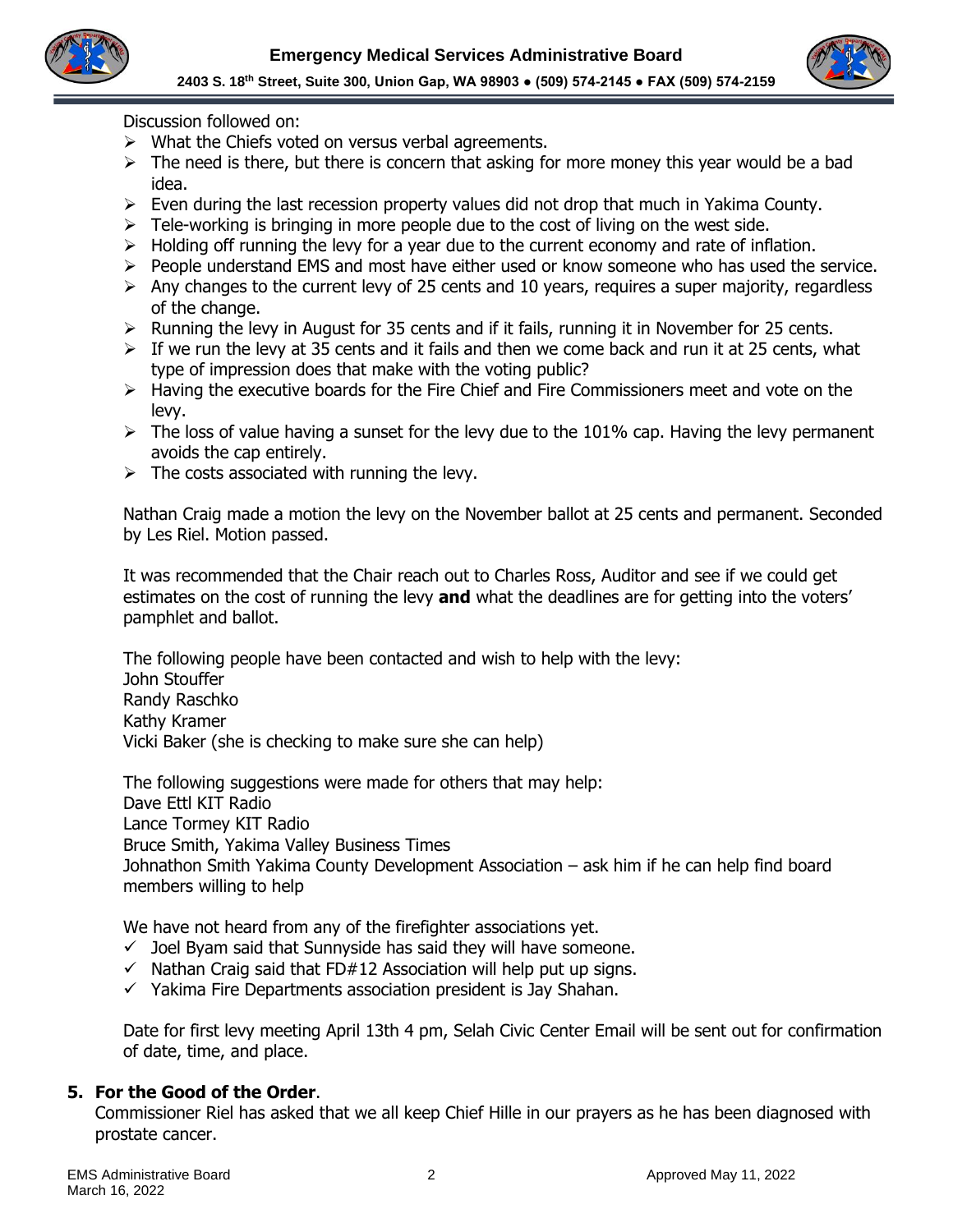



Discussion followed on:

- ➢ What the Chiefs voted on versus verbal agreements.
- $\triangleright$  The need is there, but there is concern that asking for more money this year would be a bad idea.
- ➢ Even during the last recession property values did not drop that much in Yakima County.
- $\triangleright$  Tele-working is bringing in more people due to the cost of living on the west side.
- $\triangleright$  Holding off running the levy for a year due to the current economy and rate of inflation.
- ➢ People understand EMS and most have either used or know someone who has used the service.
- $\triangleright$  Any changes to the current levy of 25 cents and 10 years, requires a super majority, regardless of the change.
- $\triangleright$  Running the levy in August for 35 cents and if it fails, running it in November for 25 cents.
- $\triangleright$  If we run the levy at 35 cents and it fails and then we come back and run it at 25 cents, what type of impression does that make with the voting public?
- $\triangleright$  Having the executive boards for the Fire Chief and Fire Commissioners meet and vote on the levy.
- $\triangleright$  The loss of value having a sunset for the levy due to the 101% cap. Having the levy permanent avoids the cap entirely.
- $\triangleright$  The costs associated with running the levy.

Nathan Craig made a motion the levy on the November ballot at 25 cents and permanent. Seconded by Les Riel. Motion passed.

It was recommended that the Chair reach out to Charles Ross, Auditor and see if we could get estimates on the cost of running the levy **and** what the deadlines are for getting into the voters' pamphlet and ballot.

The following people have been contacted and wish to help with the levy: John Stouffer Randy Raschko Kathy Kramer Vicki Baker (she is checking to make sure she can help)

The following suggestions were made for others that may help: Dave Ettl KIT Radio Lance Tormey KIT Radio Bruce Smith, Yakima Valley Business Times Johnathon Smith Yakima County Development Association – ask him if he can help find board members willing to help

We have not heard from any of the firefighter associations yet.

- $\checkmark$  Joel Byam said that Sunnyside has said they will have someone.
- $\checkmark$  Nathan Craig said that FD#12 Association will help put up signs.
- ✓ Yakima Fire Departments association president is Jay Shahan.

Date for first levy meeting April 13th 4 pm, Selah Civic Center Email will be sent out for confirmation of date, time, and place.

## **5. For the Good of the Order**.

Commissioner Riel has asked that we all keep Chief Hille in our prayers as he has been diagnosed with prostate cancer.